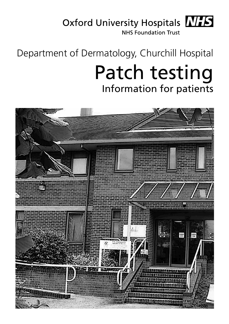# Oxford University Hospitals MHS

**NHS Foundation Trust** 

# Department of Dermatology, Churchill Hospital

# Patch testing Information for patients

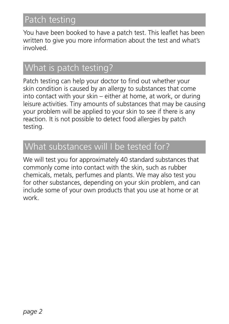# Patch testing

You have been booked to have a patch test. This leaflet has been written to give you more information about the test and what's involved.

## What is patch testing?

Patch testing can help your doctor to find out whether your skin condition is caused by an allergy to substances that come into contact with your skin – either at home, at work, or during leisure activities. Tiny amounts of substances that may be causing your problem will be applied to your skin to see if there is any reaction. It is not possible to detect food allergies by patch testing.

### What substances will I be tested for?

We will test you for approximately 40 standard substances that commonly come into contact with the skin, such as rubber chemicals, metals, perfumes and plants. We may also test you for other substances, depending on your skin problem, and can include some of your own products that you use at home or at work.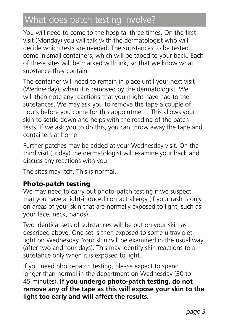# What does patch testing involve?

You will need to come to the hospital three times. On the first visit (Monday) you will talk with the dermatologist who will decide which tests are needed. The substances to be tested come in small containers, which will be taped to your back. Each of these sites will be marked with ink, so that we know what substance they contain.

The container will need to remain in place until your next visit (Wednesday), when it is removed by the dermatologist. We will then note any reactions that you might have had to the substances. We may ask you to remove the tape a couple of hours before you come for this appointment. This allows your skin to settle down and helps with the reading of the patch tests. If we ask you to do this, you can throw away the tape and containers at home.

Further patches may be added at your Wednesday visit. On the third visit (Friday) the dermatologist will examine your back and discuss any reactions with you.

The sites may itch. This is normal.

#### Photo-patch testing

We may need to carry out photo-patch testing if we suspect that you have a light-induced contact allergy (if your rash is only on areas of your skin that are normally exposed to light, such as your face, neck, hands).

Two identical sets of substances will be put on your skin as described above. One set is then exposed to some ultraviolet light on Wednesday. Your skin will be examined in the usual way (after two and four days). This may identify skin reactions to a substance only when it is exposed to light.

If you need photo-patch testing, please expect to spend longer than normal in the department on Wednesday (30 to 45 minutes). **If you undergo photo-patch testing, do not remove any of the tape as this will expose your skin to the light too early and will affect the results.**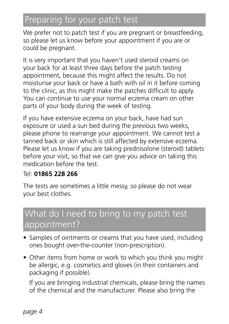# Preparing for your patch test

We prefer not to patch test if you are pregnant or breastfeeding, so please let us know before your appointment if you are or could be pregnant.

It is very important that you haven't used steroid creams on your back for at least three days before the patch testing appointment, because this might affect the results. Do not moisturise your back or have a bath with oil in it before coming to the clinic, as this might make the patches difficult to apply. You can continue to use your normal eczema cream on other parts of your body during the week of testing.

If you have extensive eczema on your back, have had sun exposure or used a sun bed during the previous two weeks, please phone to rearrange your appointment. We cannot test a tanned back or skin which is still affected by extensive eczema. Please let us know if you are taking prednisolone (steroid) tablets before your visit, so that we can give you advice on taking this medication before the test.

#### Tel: **01865 228 266**

The tests are sometimes a little messy, so please do not wear your best clothes.

## What do I need to bring to my patch test appointment?

- Samples of ointments or creams that you have used, including ones bought over-the-counter (non-prescription).
- Other items from home or work to which you think you might be allergic, e.g. cosmetics and gloves (in their containers and packaging if possible).

If you are bringing industrial chemicals, please bring the names of the chemical and the manufacturer. Please also bring the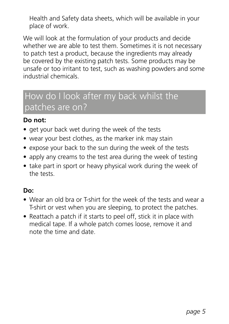Health and Safety data sheets, which will be available in your place of work.

We will look at the formulation of your products and decide whether we are able to test them. Sometimes it is not necessary to patch test a product, because the ingredients may already be covered by the existing patch tests. Some products may be unsafe or too irritant to test, such as washing powders and some industrial chemicals.

### How do I look after my back whilst the patches are on?

#### **Do not:**

- get your back wet during the week of the tests
- wear your best clothes, as the marker ink may stain
- expose your back to the sun during the week of the tests
- apply any creams to the test area during the week of testing
- take part in sport or heavy physical work during the week of the tests.

#### **Do:**

- Wear an old bra or T-shirt for the week of the tests and wear a T-shirt or vest when you are sleeping, to protect the patches.
- Reattach a patch if it starts to peel off, stick it in place with medical tape. If a whole patch comes loose, remove it and note the time and date.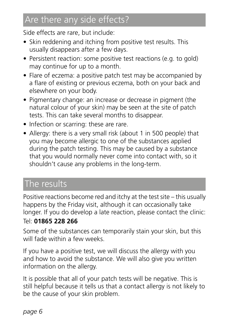# Are there any side effects?

Side effects are rare, but include:

- Skin reddening and itching from positive test results. This usually disappears after a few days.
- Persistent reaction: some positive test reactions (e.g. to gold) may continue for up to a month.
- Flare of eczema: a positive patch test may be accompanied by a flare of existing or previous eczema, both on your back and elsewhere on your body.
- Pigmentary change: an increase or decrease in pigment (the natural colour of your skin) may be seen at the site of patch tests. This can take several months to disappear.
- Infection or scarring: these are rare.
- Allergy: there is a very small risk (about 1 in 500 people) that you may become allergic to one of the substances applied during the patch testing. This may be caused by a substance that you would normally never come into contact with, so it shouldn't cause any problems in the long-term.

### The results

Positive reactions become red and itchy at the test site – this usually happens by the Friday visit, although it can occasionally take longer. If you do develop a late reaction, please contact the clinic:

#### Tel: **01865 228 266**

Some of the substances can temporarily stain your skin, but this will fade within a few weeks.

If you have a positive test, we will discuss the allergy with you and how to avoid the substance. We will also give you written information on the allergy.

It is possible that all of your patch tests will be negative. This is still helpful because it tells us that a contact allergy is not likely to be the cause of your skin problem.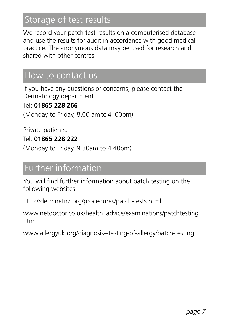# Storage of test results

We record your patch test results on a computerised database and use the results for audit in accordance with good medical practice. The anonymous data may be used for research and shared with other centres.

### How to contact us

If you have any questions or concerns, please contact the Dermatology department.

#### Tel: **01865 228 266**

(Monday to Friday, 8.00 am to4 .00pm)

Private patients:

#### Tel: **01865 228 222**

(Monday to Friday, 9.30am to 4.40pm)

## Further information

You will find further information about patch testing on the following websites:

http://dermnetnz.org/procedures/patch-tests.html

www.netdoctor.co.uk/health\_advice/examinations/patchtesting. htm

www.allergyuk.org/diagnosis--testing-of-allergy/patch-testing